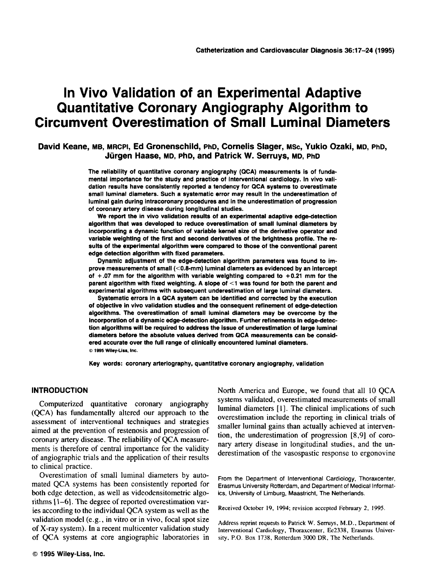# In Vivo Validation of an Experimental Adaptive Quantitative Coronary Angiography Algorithm to Circumvent Overestimation of Small Luminal Diameters

**David Keane, MB,** MRCPI, **Ed Gronenschild,** PhD, **Cornelis Slager,** MSc, **Yukio Ozaki,** MD, PhD, **Jurgen Haase,** MD, **PhD, and Patrick W. Serruys,** MD, PhD

> The reliability of quantitative coronary angiography **(QCA)** measurements is of fundamental importance for the study and practice of lnterventional cardiology. In vivo validation results have consistently reported a tendency for **QCA** systems to overestimate small luminal diameters. Such a systematic error may result In the underestimation of luminal gain during intracoronary procedures and in the underestlmation of progression of coronary artery disease during longltudlnal studies.

> We report the in vivo valldatlon results of an experimental adaptive edge-detection algorithm that was developed to reduce overestimation of small luminal dlameters by incorporating a dynamic function of variable kernel size of the derivative operator and variable weighting of the first and second derivatives of the brightness profile. The results of the experimental algorithm were compared to those of the conventional parent edge detection algorithm with fixed parameters.

> Dynamlc adjustment of the edgedetection algorithm parameters was found to improve measurements of small (<0.8-mm) luminal dlameters as evidenced by an intercept of **+.07** mm for the algorithm with variable welghtlng compared to **+0.21** mm for the parent algorithm with flxed weighting. A slope of **<1** was found for both the parent and experimental algorithms with subsequent underestimation of large luminal dlameters.

> Systematic errors In a **QCA** system can be identified and corrected by the execution of objective in vivo validation studies and the consequent refinement of edge-detection algorithms. The overestimation of small luminal diameters may be overcome by the incorporation of a dynamic edge-detection algorithm. Further refinements in edge-detection algorithms will be required to address the Issue of underestlmation of large luminal diameters before the absolute values derived from **QCA** measurements can be considered accurate over the full range of clinically encountered luminal diameters.  $© 1995 Wiley-Liss, Inc.$

Key words: coronary arterlography, quantitatlve coronary angiography, validation

# **INTRODUCTION**

Computerized quantitative coronary angiography (QCA) has fundamentally altered our approach to the assessment of interventional techniques and strategies aimed at the prevention of restenosis and progression of coronary artery disease. The reliability of QCA measurements is therefore of central importance for the validity of angiographic trials and the application of their results to clinical practice.

Overestimation of small luminal diameters by automated QCA systems has been consistently reported for both edge detection, as well as videodensitometric algo**rithms 1-6).** The degree of reported overestimation varies according to the individual QCA system as well as the validation model (e.g., in vitro or in vivo, focal spot size of X-ray system). In a recent multicenter validation study of QCA systems at core angiographic laboratories in

*0* 1995 Wiley-Liss, Inc.

North America and Europe, we found that all 10 QCA systems validated, overestimated measurements of small luminal diameters [I]. The clinical implications of such overestimation include the reporting in clinical trials of smaller luminal gains than actually achieved at intervention, the underestimation of progression **[8,9]** of coronary artery disease in longitudinal studies, and the underestimation of the vasospastic response to ergonovine

From the Department of lnterventional Cardiology, Thoraxcenter, Erasmus University Rotterdam, and Department of Medical Informatics, University of Limburg, Maastricht, The Netherlands.

**Received October 19, 1994; revision accepted February** 2, **1995.** 

**Address reprint requests to Patrick W. Serruys, M.D., Department of lnterventional Cardiology, Thoraxcenter, Ee2338, Erasmus University, P.O. Box 1738, Rotterdam 3000 DR, The Netherlands.**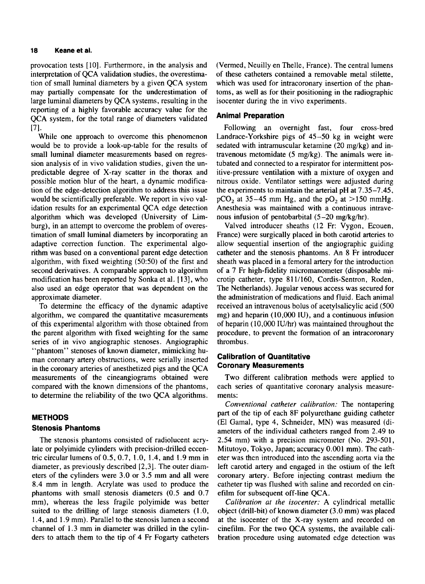#### **18 Keane et al.**

provocation tests [10]. Furthermore, in the analysis and interpretation of QCA validation studies, the overestimation of small luminal diameters by a given QCA system may partially compensate for the underestimation of large luminal diameters by QCA systems, resulting in the reporting of a highly favorable accuracy value for the QCA system, for the total range of diameters validated [71.

While one approach to overcome this phenomenon would be to provide a look-up-table for the results of small luminal diameter measurements based on regression analysis of in vivo validation studies, given the unpredictable degree of X-ray scatter in the thorax and possible motion blur of the heart, a dynamic modification of the edge-detection algorithm to address this issue would be scientifically preferable. We report in vivo validation results for an experimental QCA edge detection algorithm which was developed (University of Limburg), in an attempt to overcome the problem of overestimation of small luminal diameters by incorporating an adaptive correction function. The experimental algorithm was based on a conventional parent edge detection algorithm, with fixed weighting *(5050)* of the first and second derivatives. A comparable approach to algorithm modification has been reported by Sonka et al. [ **131,** who also used an edge operator that was dependent on the approximate diameter.

To determine the efficacy of the dynamic adaptive algorithm, we compared the quantitative measurements of this experimental algorithm with those obtained from the parent algorithm with fixed weighting for the same series of in vivo angiographic stenoses. Angiographic "phantom" stenoses of known diameter, mimicking human coronary artery obstructions, were serially inserted in the coronary arteries of anesthetized pigs and the QCA measurements of the cineangiograms obtained were compared with the known dimensions of the phantoms, to determine the reliability of the two QCA algorithms.

# **METHODS**

# **Stenosis Phantoms**

The stenosis phantoms consisted of radiolucent acrylate or polyimide cylinders with precision-drilled eccentric circular lumens of 0.5,0.7, **1** .O, 1.4, and I **.9** mm in diameter, as previously described **[2,3].** The outer diameters of the cylinders were **3.0** or **3.5** mm and all were **8.4** mm in length. Acrylate was used to produce the phantoms with small stenosis diameters (0.5 and 0.7 mm), whereas the less fragile polyimide was better suited to the drilling of large stenosis diameters (1.0, **1.4,** and 1.9 mm). Parallel to the stenosis lumen a second channel of 1.3 mm in diameter was drilled in the cylinders to attach them to the tip of 4 Fr Fogarty catheters (Vermed, Neuilly en Thelle, France). The central lumens of these catheters contained a removable metal stilette, which was used for intracoronary insertion of the phantoms, as well as for their positioning in the radiographic isocenter during the in vivo experiments.

## **Animal Preparation**

Following an overnight fast, four cross-bred Landrace-Yorkshire pigs of 45-50 kg in weight were sedated with intramuscular ketamine **(20** mg/kg) and intravenous metomidate *(5* mg/kg). The animals were intubated and connected to a respirator for intermittent positive-pressure ventilation with a mixture of oxygen and nitrous oxide. Ventilator settings were adjusted during the experiments to maintain the arterial pH at 7.35-7.45,  $pCO<sub>2</sub>$  at 35–45 mm Hg, and the  $pO<sub>2</sub>$  at >150 mmHg. Anesthesia was maintained with a continuous intravenous infusion of pentobarbital (5 **-20** mg/kg/hr).

Valved introducer sheaths **(12** Fr: Vygon, Ecouen, France) were surgically placed in both carotid arteries to allow sequential insertion of the angiographic guiding catheter and the stenosis phantoms. An **8** Fr introducer sheath was placed in a femoral artery for the introduction of a 7 Fr high-fidelity micromanometer (disposable microtip catheter, type **81** 1/160, Cordis-Sentron, Roden, The Netherlands). Jugular venous access was secured for the administration of medications and fluid. Each animal received an intravenous bolus of acetylsalicylic acid (500 mg) and heparin **(10,OOO** IU), and a continuous infusion of heparin (10,000 IU/hr) was maintained throughout the procedure, to prevent the formation of an intracoronary thrombus.

# **Calibration of Quantitative Coronary Measurements**

Two different calibration methods were applied to each series of quantitative coronary analysis measurements:

*Conventional catheter calibration:* The nontapering part of the tip of each 8F polyurethane guiding catheter (El Gamal, type **4,** Schneider, MN) was measured (diameters of the individual catheters ranged from **2.49** to **2.54** mm) with a precision micrometer (No. **293-501,**  Mitutoyo, Tokyo, Japan; accuracy 0.001 mm). The catheter was then introduced into the ascending aorta via the left carotid artery and engaged in the ostium of the left coronary artery. Before injecting contrast medium the catheter tip was flushed with saline and recorded on cinefilm for subsequent off-line QCA.

*Calibration at the isocenter:* A cylindrical metallic object (drill-bit) of known diameter **(3.0** mm) was placed at the isocenter of the X-ray system and recorded on cinefilm. For the two QCA systems, the available cali bration procedure using automated edge detection was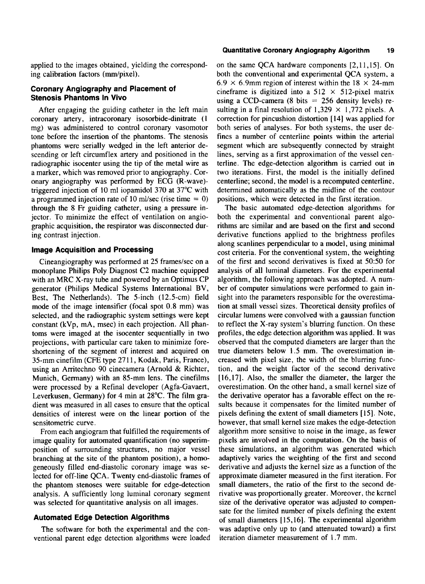applied to the images obtained, yielding the corresponding calibration factors (mm/pixel).

# **Coronary Angiography and Placement of Stenosis Phantoms In Vivo**

After engaging the guiding catheter in the left main coronary artery, intracoronary isosorbide-dinitrate ( 1 mg) was administered to control coronary vasomotor tone before the insertion of the phantoms. The stenosis phantoms were serially wedged in the left anterior descending or left circumflex artery and positioned in the radiographic isocenter using the tip of the metal wire as a marker, which was removed prior to angiography. Coronary angiography was performed by ECG (R-wave) triggered injection of 10 ml iopamidol 370 at 37°C with a programmed injection rate of 10 ml/sec (rise time  $= 0$ ) through the 8 Fr guiding catheter, using a pressure injector. To minimize the effect of ventilation on angiographic acquisition, the respirator was disconnected during contrast injection.

# **Image Acquisition and Processing**

Cineangiography was performed at 25 frames/sec on a monoplane Philips Poly Diagnost C2 machine equipped with an MRC X-ray tube and powered by an Optimus CP generator (Philips Medical Systems International BV, Best, The Netherlands). The 5-inch (12.5-cm) field mode of the image intensifier (focal spot 0.8 mm) was selected, and the radiographic system settings were kept constant (kVp, mA, msec) in each projection. All phantoms were imaged at the isocenter sequentially in two projections, with particular care taken to minimize foreshortening of the segment of interest and acquired on 35-mm cinefilm (CFE type 27 11, Kodak, Paris, France), using an Arritechno 90 cinecamera (Arnold & Richter, Munich, Germany) with an 85-mm lens. The cinefilms were processed by a Refinal developer (Agfa-Gavaert. Leverkusen, Germany) for **4** min at 28°C. The film gradient was measured in all cases to ensure that the optical densities of interest were on the linear portion of the sensitometric curve.

From each angiogram that fulfilled the requirements of image quality for automated quantification (no superimposition of surrounding structures, no major vessel branching at the site of the phantom position), a homogeneously filled end-diastolic coronary image was selected for off-line QCA. Twenty end-diastolic frames of the phantom stenoses were suitable for edge-detection analysis. A sufficiently long luminal coronary segment was selected for quantitative analysis on all images.

## **Automated Edge Detection Algorithms**

The software for both the experimental and the conventional parent edge detection algorithms were loaded

#### **Quantitative Coronary Angiography Algorithm 19**

on the same QCA hardware components [2,11,15]. On both the conventional and experimental QCA system. a 6.9  $\times$  6.9mm region of interest within the 18  $\times$  24-mm cineframe is digitized into a  $512 \times 512$ -pixel matrix using a CCD-camera (8 bits  $= 256$  density levels) resulting in a final resolution of 1,329  $\times$  1,772 pixels. A correction for pincushion distortion [ 141 was applied for both series of analyses. For both systems, the user defines a number of centerline points within the arterial segment which are subsequently connected by straight lines, serving as a first approximation of the vessel centerline. The edge-detection algorithm is carried out in two iterations. First, the model is the initially defined centerline; second, the model is a recomputed centerline, determined automatically as the midline of the contour positions, which were detected in the first iteration.

The basic automated edge-detection algorithms for both the experimental and conventional parent algorithms are similar and are based on the first and second derivative functions applied to the brightness profiles along scanlines perpendicular to a model, using minimal cost criteria. For the conventional system, the weighting of the first and second derivatives is fixed at 50:50 for analysis of all luminal diameters. For the experimental algorithm, the following approach was adopted. A number of computer simulations were performed to gain insight into the parameters responsible for the overestimation at small vessel sizes. Theoretical density profiles of circular lumens were convolved with a gaussian function to reflect the X-ray system's blurring function. On these profiles, the edge detection algorithm was applied. It was observed that the computed diameters are larger than the true diameters below 1.5 mm. The overestimation increased with pixel size, the width of the blurring function, and the weight factor of the second derivative [16,17]. Also, the smaller the diameter, the larger the overestimation. On the other hand, a small kernel size of the derivative operator has a favorable effect on the results because it compensates for the limited number of pixels defining the extent of small diameters [15]. Note, however, that small kernel size makes the edge-detection algorithm more sensitive to noise in the image, as fewer pixels are involved in the computation. On the basis of these simulations, an algorithm was generated which adaptively varies the weighting of the first and second derivative and adjusts the kernel size as a function of the approximate diameter measured in the first iteration. For small diameters, the ratio of the first to the second derivative was proportionally greater. Moreover, the kernel size of the derivative operator was adjusted to compensate for the limited number of pixels defining the extent of small diameters [ 15,161. The experimental algorithm was adaptive only up to (and attenuated toward) a first iteration diameter measurement of 1.7 mm.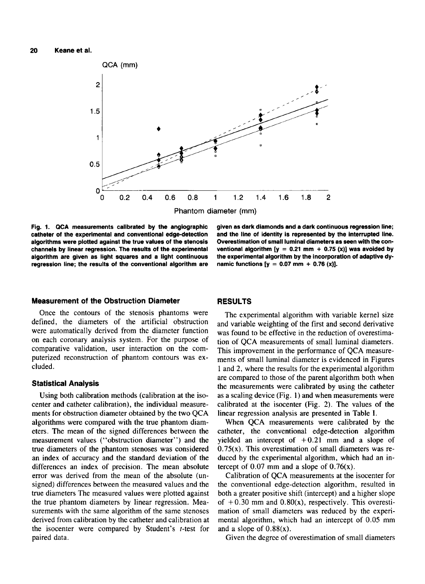

**Fig. 1. QCA measurements calibrated by the angiographic catheter of the experimental and conventional edge-detectlon algorithms were plotted against the true values of the stenosis channels by linear regression. The results of the experimental algorithm are given as light squares and a light continuous regression line; the results of the conventional algorithm are** 

#### **given as dark diamonds and a dark continuous regression line; and the line of identity is represented by the interrupted line. Overestimation of small luminal diameters as seen with the conventional algorithm [y = 0.21 mm + 0.75 (x)] was avoided by the experimental algorithm by the incorporation of adaptive dynamic functions [y** = **0.07 mm** + **0.76 (x)].**

## **Measurement of the Obstruction Diameter**

Once the contours of the stenosis phantoms were defined, the diameters of the artificial obstruction were automatically derived from the diameter function on each coronary analysis system. For the purpose of comparative validation, user interaction on the computerized reconstruction of phantom contours was excluded.

#### **Statistical Analysis**

Using both calibration methods (calibration at the isocenter and catheter calibration), the individual measurements for obstruction diameter obtained by the two QCA algorithms were compared with the true phantom diameters. The mean of the signed differences between the measurement values ("obstruction diameter") and the true diameters of the phantom stenoses was considered an index of accuracy and the standard deviation of the differences an index of precision. The mean absolute error was derived from the mean of the absolute (unsigned) differences between the measured values and the true diameters The measured values were plotted against the true phantom diameters by linear regression. Measurements with the same algorithm of the same stenoses derived from calibration by the catheter and calibration at the isocenter were compared by Student's t-test for paired data.

#### **RESULTS**

The experimental algorithm with variable kernel size and variable weighting of the first and second derivative was found to be effective in the reduction of overestimation of QCA measurements of small luminal diameters. This improvement in the performance of QCA measurements of small luminal diameter is evidenced in Figures 1 and 2, where the results for the experimental algorithm are compared to those of the parent algorithm both when the measurements were calibrated by using the catheter as a scaling device (Fig. **1)** and when measurements were calibrated at the isocenter (Fig. **2).** The values of the linear regression analysis are presented in Table **I.** 

When QCA measurements were calibrated by the catheter, the conventional edge-detection algorithm yielded an intercept of  $+0.21$  mm and a slope of  $0.75(x)$ . This overestimation of small diameters was reduced by the experimental algorithm, which had an intercept of  $0.07$  mm and a slope of  $0.76(x)$ .

Calibration of QCA measurements at the isocenter for the conventional edge-detection algorithm, resulted in both a greater positive shift (intercept) and a higher slope of  $+0.30$  mm and  $0.80(x)$ , respectively. This overestimation of small diameters was reduced by the experimental algorithm, which had an intercept of 0.05 mm and a slope of **0.88(x).** 

Given the degree of overestimation of small diameters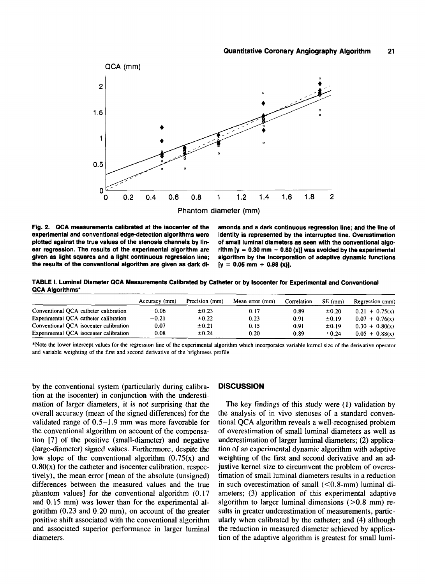

Fig. 2. QCA measurements calibrated at the isocenter of the experimental and conventional edge-detection algorithms were plotted against the true values of the stenosis channels by linear regression. The results of the experimental algorithm are given as light squares and a llght contlnuous regression line; the results of the conventional algorithm are given as dark dl-

amonds and a dark continuous regression line; and the line *of*  identity is represented by the interrupted line. Overestimation of small lumlnal diameters as seen with the conventional algorithm  $[y = 0.30$  mm  $+ 0.80 (x)]$  was avoided by the experimental algorithm by the incorporation of adaptive dynamic functions  $[y = 0.05$  mm + 0.88 (x)].

TABLE **1.** Lumlnal Diameter QCA Measurements Calibrated by Catheter or by lsocenter for Experimental and Conventional QCA Algorithms\*

|                                        | Accuracy (mm) | Precision (mm) | Mean $error$ (mm) | Correlation | $SE$ (mm)  | Regression (mm)  |
|----------------------------------------|---------------|----------------|-------------------|-------------|------------|------------------|
| Conventional OCA catheter calibration  | $-0.06$       | $\pm 0.23$     | 0.17              | 0.89        | $\pm 0.20$ | $0.21 + 0.75(x)$ |
| Experimental QCA catheter calibration  | $-0.21$       | $\pm 0.22$     | 0.23              | 0.91        | $\pm 0.19$ | $0.07 + 0.76(x)$ |
| Conventional OCA isocenter calibration | 0.07          | $\pm 0.21$     | 0.15              | 0.91        | ±0.19      | $0.30 + 0.80(x)$ |
| Experimental OCA isocenter calibration | $-0.08$       | $\pm 0.24$     | 0.20              | 0.89        | $\pm 0.24$ | $0.05 + 0.88(x)$ |

**\*Nore the lower intercept values for the regression line of the experimental algorithm which incorporates variable kernel size of the derivative operator and variable weighting of the first and second derivative of the brightness profile** 

by the conventional system (particularly during calibration at the isocenter) in conjunction with the underestimation of larger diameters, it is not surprising that the overall accuracy (mean of the signed differences) for the validated range of 0.5-1.9 mm was more favorable for the conventional algorithm on account of the compensation [7] of the positive (small-diameter) and negative (large-diameter) signed values. Furthermore, despite the low slope of the conventional algorithm  $(0.75(x))$  and  $0.80(x)$  for the catheter and isocenter calibration, respectively), the mean error [mean of the absolute (unsigned) differences between the measured values and the true phantom values] for the conventional algorithm (0.17 and 0.15 mm) was lower than for the experimental algorithm (0.23 and 0.20 mm), on account of the greater positive shift associated with the conventional algorithm and associated superior performance in larger luminal diameters.

#### **DISCUSSION**

The key findings of this study were (1) validation by the analysis of in vivo stenoses of a standard conventional **QCA** algorithm reveals a well-recognised problem of overestimation of small luminal diameters as well as underestimation of larger luminal diameters; (2) application of an experimental dynamic algorithm with adaptive weighting of the first and second derivative and an adjustive kernel size to circumvent the problem of overestimation of small luminal diameters results in a reduction in such overestimation of small  $(< 0.8$ -mm) luminal diameters; (3) application of this experimental adaptive algorithm to larger luminal dimensions **(>0.8** mm) results in greater underestimation of measurements, particularly when calibrated by the catheter; and **(4)** although the reduction in measured diameter achieved by application of the adaptive algorithm is greatest for small lumi-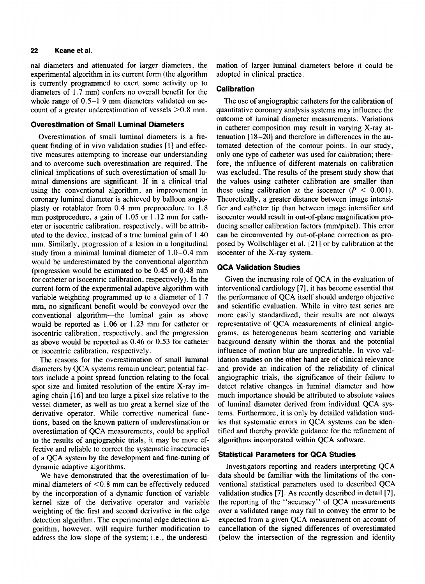#### **22 Keane et al.**

nal diameters and attenuated for larger diameters, the experimental algorithm in its current form (the algorithm is currently programmed to exert some activity up to diameters of 1.7 mm) confers no overall benefit for the whole range of 0.5-1.9 mm diameters validated on account of a greater underestimation of vessels *>0.8* mm.

#### **Overestimation of Small Luminal Diameters**

Overestimation of small luminal diameters is a frequent finding of in vivo validation studies **[I]** and effective measures attempting to increase our understanding and to overcome such overestimation are required. The clinical implications of such overestimation of small luminal dimensions are significant. **If** in a clinical trial using the conventional algorithm, an improvement in coronary luminal diameter is achieved by balloon angioplasty or rotablator from 0.4 mm preprocedure to 1.8 mm postprocedure, a gain of 1.05 or 1.12 mm for catheter or isocentric calibration, respectively, will be attributed to the device, instead of a true luminal gain of 1.40 mm. Similarly, progression of a lesion in a longitudinal study from a minimal luminal diameter of  $1.0-0.4$  mm would be underestimated by the conventional algorithm (progression would be estimated to be 0.45 or **0.48** mm for catheter or isocentric calibration, respectively). In the current form of the experimental adaptive algorithm with variable weighting programmed up to a diameter of 1.7 mm, no significant benefit would be conveyed over the conventional algorithm-the luminal gain as above would be reported as 1.06 or **1.23** mm for catheter or isocentric calibration, respectively, and the progression as above would be reported as 0.46 or 0.53 for catheter or isocentric calibration, respectively.

The reasons for the overestimation of small luminal diameters by QCA systems remain unclear; potential fac**tors** include a point spread function relating to the focal spot size and limited resolution of the entire X-ray imaging chain [16] and too large a pixel size relative to the vessel diameter, as well as too great a kernel size of the derivative operator. While corrective numerical functions, based on the known pattern of underestimation or overestimation of QCA measurements, could be applied to the results of angiographic trials, it may be more effective and reliable to correct the systematic inaccuracies of a QCA system by the development and fine-tuning of dynamic adaptive algorithms.

We have demonstrated that the overestimation of luminal diameters of  $\leq 0.8$  mm can be effectively reduced by the incorporation of a dynamic function of variable kernel size of the derivative operator and variable weighting of the first and second derivative in the edge detection algorithm. The experimental edge detection algorithm, however, will require further modification to address the low slope of the system; i.e., the underestimation of larger luminal diameters before it could be adopted in clinical practice.

# **Calibration**

The use of angiographic catheters for the calibration of quantitative coronary analysis systems may influence the outcome of luminal diameter measurements. Variations in catheter composition may result in varying X-ray attenuation [ 18-20] and therefore in differences in the automated detection of the contour points. In our study, only one type of catheter was used for calibration; therefore, the influence of different materials on calibration was excluded. The results of the present study show that the values using catheter calibration are smaller than those using calibration at the isocenter  $(P < 0.001)$ . Theoretically, a greater distance between image intensifier and catheter tip than between image intensifier and isocenter would result in out-of-plane magnification producing smaller calibration factors (mm/pixel). This error can be circumvented by out-of-plane correction as proposed by Wollschläger et al. [21] or by calibration at the isocenter of the X-ray system.

## **QCA Validation Studies**

Given the increasing role of QCA in the evaluation of interventional cardiology [7], it has become essential that the performance of QCA itself should undergo objective and scientific evaluation. While in vitro test series are more easily standardized, their results are not always representative of QCA measurements of clinical angiograms, as heterogeneous beam scattering and variable bacground density within the thorax and the potential influence of motion blur are unpredictable. In vivo validation studies on the other hand are of clinical relevance and provide an indication of the reliability of clinical angiographic trials, the significance **of** their failure to detect relative changes in luminal diameter and how much importance should be attributed to absolute values of luminal diameter derived from individual QCA systems. Furthermore, it is only by detailed validation studies that systematic errors in QCA systems can be identified and thereby provide guidance for the refinement of algorithms incorporated within QCA software.

#### **Statistical Parameters for QCA Studies**

Investigators reporting and readers interpreting QCA data should be familiar with the limitations of the conventional statistical parameters used to described QCA validation studies [7]. As recently described in detail [7], the reporting of the "accuracy" of QCA measurements over a validated range may fail to convey the error to be expected from a given QCA measurement on account of cancellation of the signed differences of overestimated (below the intersection of the regression and identity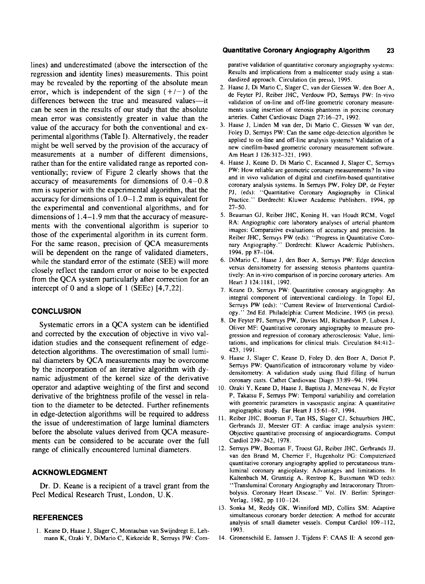lines) and underestimated (above the intersection of the regression and identity lines) measurements. This point may be revealed by the reporting of the absolute mean error, which is independent of the sign  $(+/-)$  of the differences between the true and measured values-it can be seen in the results of our study that the absolute mean error was consistently greater in value than the value of the accuracy for both the conventional and experimental algorithms (Table I). Alternatively, the reader might be well served by the provision of the accuracy of measurements at a number of different dimensions, rather than for the entire validated range as reported conventionally; review of Figure 2 clearly shows that the accuracy of measurements for dimensions of 0.4-0.8 mm is superior with the experimental algorithm, that the accuracy for dimensions of 1 .O-1.2 mm is equivalent for the experimental and conventional algorithms, and for dimensions of 1.4-1.9 mm that the accuracy of measurements with the conventional algorithm is superior to those of the experimental algorithm in its current form. For the same reason, precision of QCA measurements will be dependent on the range of validated diameters, while the standard error of the estimate (SEE) will more closely reflect the random error or noise to be expected from the QCA system particularly after correction for an intercept of 0 and a slope of 1 (SEEc) [4,7,22].

# **CONCLUSION**

Systematic errors in a QCA system can be identified and corrected by the execution of objective in vivo validation studies and the consequent refinement of edgedetection algorithms. The overestimation of small luminal diameters by QCA measurements may be overcome by the incorporation of an iterative algorithm with dynamic adjustment of the kernel size of the derivative operator and adaptive weighting of the first and second derivative of the brightness profile of the vessel in relation to the diameter to be detected. Further refinements in edge-detection algorithms will be required to address the issue of underestimation of large luminal diameters before the absolute values derived from QCA measurements can be considered to be accurate over the full range of clinically encountered luminal diameters.

# **ACKNOWLEDGMENT**

Dr. D. Keane is a recipient of a travel grant from the Peel Medical Research Trust, London, U.K.

#### **REFERENCES**

1. Keane D, Haase J, Slager C, Montauban van Swijndregt E, Lehmann K, Ozaki Y, DiMario C, Kirkeeide R, Serruys PW: Com-

#### **Quantitative Coronary Angiography Algorithm 23**

parative validation of quantitative coronary angiography systems: Results and implications from a multicenter study using a standardized approach. Circulation (in press), 1995.

- 2. Haase J, Di Mario C, Slager C, van der Giessen W. den Boer A, de Feyter PJ, Reiber JHC, Verdouw PD, Sermys PW: In-vivo validation of on-line and off-line geometric coronary measurements using insertion of stenosis phantoms in porcine coronary arteries. Cathet Cardiovasc Diagn 27: 16-27, 1992.
- *3.*  Haase J, Linden M van der, Di Mario C. Giessen **W** van der. Foley D, Serruys PW: Can the same edge-detection algorithm be applied to on-line and off-line analysis systems'? Validation of a new cinefilm-based geometric coronary measurement software. Am Heart J 126:312-321, 1993.
- 4. Haase J, Keane D, Di Mario C, Escanned J, Slager C, Sermys PW: How reliable are geometric coronary measurements? In vitro and in vivo validation of digital and cinefilm-based quantitative coronary analysis systems. In Sermys PW. Foley DP. de Feyter PJ, (eds): "Quantitative Coronary Angiography in Clinical Practice." Dordrecht: Kluwer Academic Publishers, 1994, pp 27-50.
- *5.*  Beauman GJ. Reiber JHC, Koning H. van Houdt RCM, Vogel RA: Angiographic core laboratory analyses of arterial phantom images: Comparative evaluations of accuracy and precision. In Reiber JHC, Sermys PW (eds): "Progress in Quantitative Coronary Angiography." Dordrecht: Kluwer Academic Publishers. 1994. pp 87-104.
- 6. DiMario C, Haase J, den Boer A. Sermys PW: Edge detection versus densitometry for assessing stenosis phantoms quantitatively: An in-vivo comparison of in porcine coronary arteries. Am Heart J 124:1181, 1992.
- 7. Keane D. Sermys PW: Quantitative coronary angiography: An integral component of interventional cardiology. In Topol EJ, Serruys PW (eds): "Current Review of Interventional Cardiology." 2nd Ed. Philadelphia: Current Medicine, 1995 (in press).
- 8. De Feyter PJ, Sermys PW. Davies MJ, Richardson P. Lubsen J. Oliver MF: Quantitative coronary angiography to measure progression and regression of coronary atherosclerosis: Value, limitations. and implications for clinical trials. Circulation 84:412- 423, 1991.
- 9. Haase J. Slager C. Keane D, Foley D, den Boer A, Doriot P. Sermys PW: Quantification of intracoronary volume by videodensitometry: A validation study using fluid filling of human coronary casts. Cathet Cardiovasc Diagn 33:89-94. 1994.
- 10. Ozaki Y, Keane D, Haase J. Baptista J, Meneveau N. de Feyter P, Takatsu F, Sermys PW: Temporal variability and correlation with geometric parameters in vasospastic angina: A quantitative angiographic study. Eur Heart J 15:61-67. 1994.
- **11.**  Reiber JHC. Booman F, Tan HS, Slager CJ, Schuurbiers JHC, Gerbrands JJ, Meester GT: A cardiac image analysis system: Objective quantitative processing of angiocardiograms. Comput Cardiol 239-242, 1978.
- 12. Sermys PW, Booman F, Troost GJ, Reiber JHC. Gerbrands JJ. van den Brand M, Chenier F, Hugenholtz PG: Computerized quantitative coronary angiography applied to percutaneous transluminal coronary angioplasty: Advantages and limitations. In Kaltenbach M. Gruntzig A. Rentrop K. Bussmann WD (eds): "Transluminal Coronary Angiography and lntracoronary Thrombolysis. Coronary Heart Disease." Vol. **IV.** Berlin: Springer-Verlag, 1982, pp 110-124.
- 13. Sonka M, Reddy GK. Winniford MD, Collins SM: Adaptive simultaneous coronary border detection: A method for accurate analysis of small diameter vessels. Comput Cardiol 109-112, 1993.
- 14 Gronenschild E, Janssen J. Tijdens F: CAAS 11: A second gen-